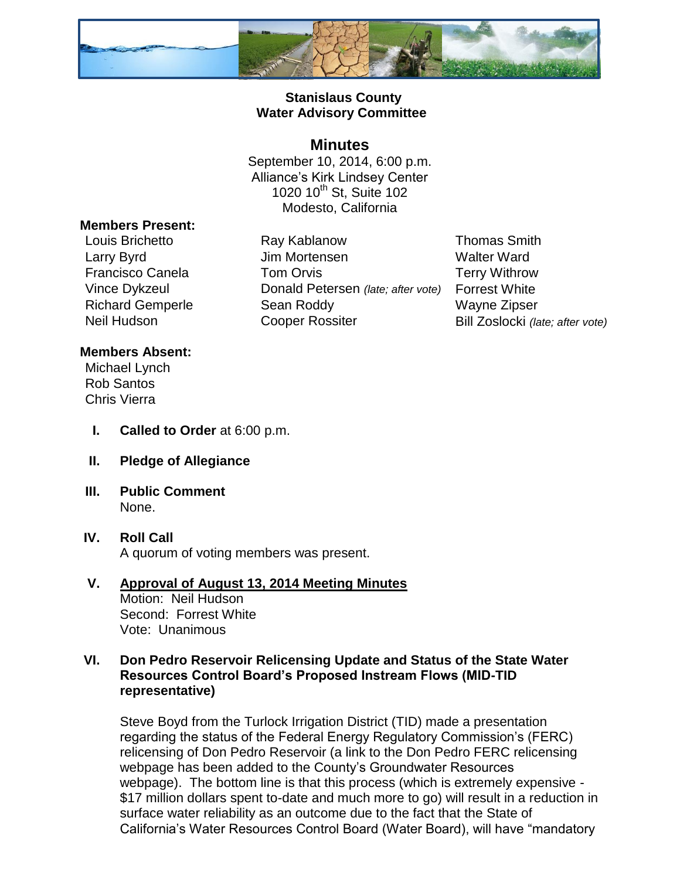

## **Stanislaus County Water Advisory Committee**

# **Minutes**

September 10, 2014, 6:00 p.m. Alliance's Kirk Lindsey Center 1020 10<sup>th</sup> St, Suite 102 Modesto, California

#### **Members Present:**

Louis Brichetto Ray Kablanow Thomas Smith Larry Byrd **Contract Contract Contract Union Ulm Mortensen** Manuel Walter Ward Francisco Canela **Tom Orvis** Terry Withrow Vince Dykzeul Donald Petersen *(late; after vote)* Forrest White Richard Gemperle Sean Roddy Wayne Zipser Neil Hudson **Cooper Rossiter** Bill Zoslocki *(late; after vote)* 

### **Members Absent:**

Michael Lynch Rob Santos Chris Vierra

- **I. Called to Order** at 6:00 p.m.
- **II. Pledge of Allegiance**
- **III. Public Comment** None.
- **IV. Roll Call** A quorum of voting members was present.

#### **V. Approval of August 13, 2014 Meeting Minutes** Motion: Neil Hudson Second: Forrest White Vote: Unanimous

## **VI. Don Pedro Reservoir Relicensing Update and Status of the State Water Resources Control Board's Proposed Instream Flows (MID-TID representative)**

Steve Boyd from the Turlock Irrigation District (TID) made a presentation regarding the status of the Federal Energy Regulatory Commission's (FERC) relicensing of Don Pedro Reservoir (a link to the Don Pedro FERC relicensing webpage has been added to the County's Groundwater Resources webpage). The bottom line is that this process (which is extremely expensive - \$17 million dollars spent to-date and much more to go) will result in a reduction in surface water reliability as an outcome due to the fact that the State of California's Water Resources Control Board (Water Board), will have "mandatory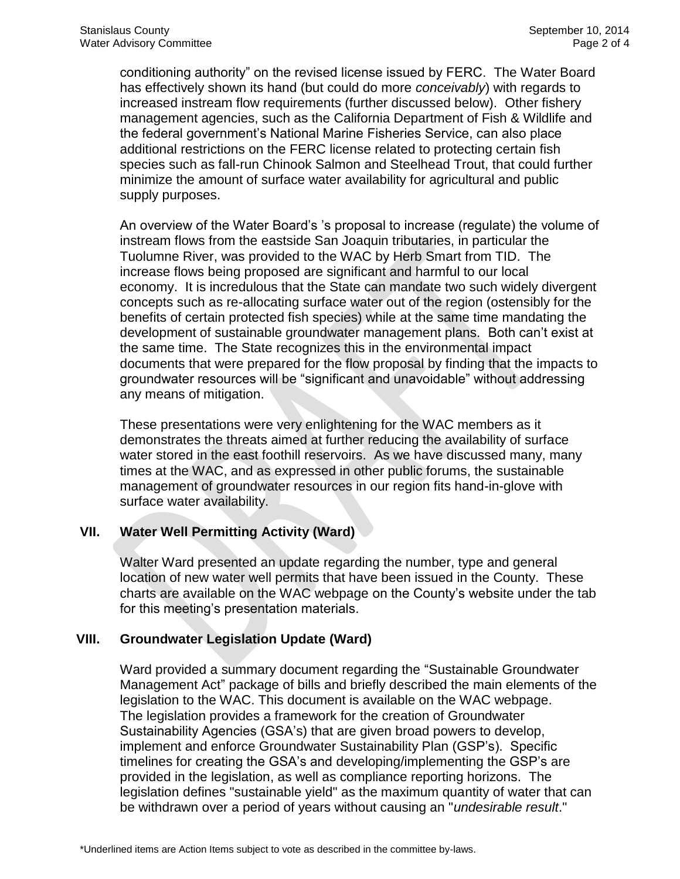conditioning authority" on the revised license issued by FERC. The Water Board has effectively shown its hand (but could do more *conceivably*) with regards to increased instream flow requirements (further discussed below). Other fishery management agencies, such as the California Department of Fish & Wildlife and the federal government's National Marine Fisheries Service, can also place additional restrictions on the FERC license related to protecting certain fish species such as fall-run Chinook Salmon and Steelhead Trout, that could further minimize the amount of surface water availability for agricultural and public supply purposes.

An overview of the Water Board's 's proposal to increase (regulate) the volume of instream flows from the eastside San Joaquin tributaries, in particular the Tuolumne River, was provided to the WAC by Herb Smart from TID. The increase flows being proposed are significant and harmful to our local economy. It is incredulous that the State can mandate two such widely divergent concepts such as re-allocating surface water out of the region (ostensibly for the benefits of certain protected fish species) while at the same time mandating the development of sustainable groundwater management plans. Both can't exist at the same time. The State recognizes this in the environmental impact documents that were prepared for the flow proposal by finding that the impacts to groundwater resources will be "significant and unavoidable" without addressing any means of mitigation.

These presentations were very enlightening for the WAC members as it demonstrates the threats aimed at further reducing the availability of surface water stored in the east foothill reservoirs. As we have discussed many, many times at the WAC, and as expressed in other public forums, the sustainable management of groundwater resources in our region fits hand-in-glove with surface water availability.

### **VII. Water Well Permitting Activity (Ward)**

Walter Ward presented an update regarding the number, type and general location of new water well permits that have been issued in the County. These charts are available on the WAC webpage on the County's website under the tab for this meeting's presentation materials.

### **VIII. Groundwater Legislation Update (Ward)**

Ward provided a summary document regarding the "Sustainable Groundwater Management Act" package of bills and briefly described the main elements of the legislation to the WAC. This document is available on the WAC webpage. The legislation provides a framework for the creation of Groundwater Sustainability Agencies (GSA's) that are given broad powers to develop, implement and enforce Groundwater Sustainability Plan (GSP's). Specific timelines for creating the GSA's and developing/implementing the GSP's are provided in the legislation, as well as compliance reporting horizons. The legislation defines "sustainable yield" as the maximum quantity of water that can be withdrawn over a period of years without causing an "*undesirable result*."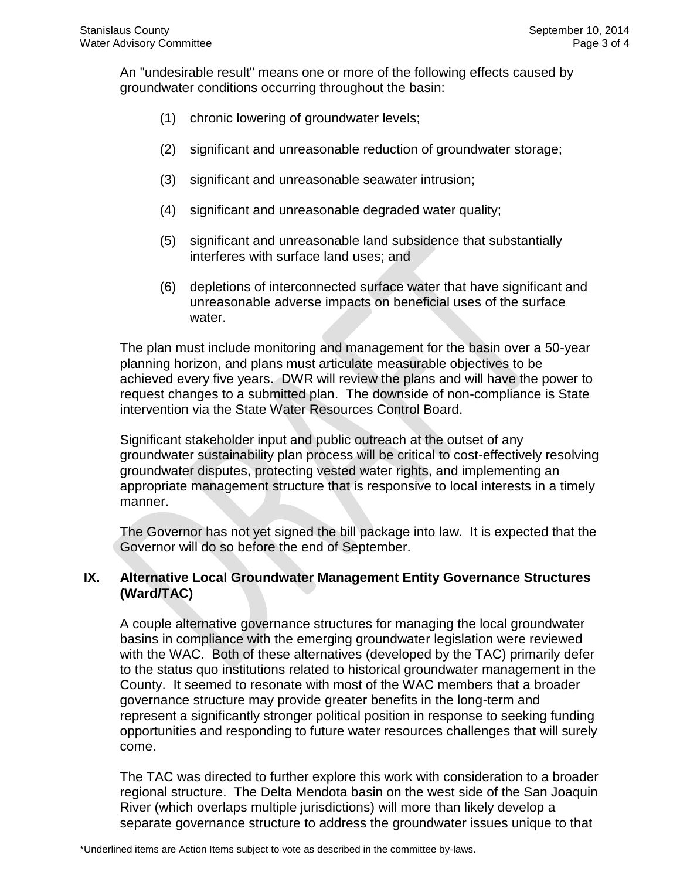An "undesirable result" means one or more of the following effects caused by groundwater conditions occurring throughout the basin:

- (1) chronic lowering of groundwater levels;
- (2) significant and unreasonable reduction of groundwater storage;
- (3) significant and unreasonable seawater intrusion;
- (4) significant and unreasonable degraded water quality;
- (5) significant and unreasonable land subsidence that substantially interferes with surface land uses; and
- (6) depletions of interconnected surface water that have significant and unreasonable adverse impacts on beneficial uses of the surface water.

The plan must include monitoring and management for the basin over a 50-year planning horizon, and plans must articulate measurable objectives to be achieved every five years. DWR will review the plans and will have the power to request changes to a submitted plan. The downside of non-compliance is State intervention via the State Water Resources Control Board.

Significant stakeholder input and public outreach at the outset of any groundwater sustainability plan process will be critical to cost-effectively resolving groundwater disputes, protecting vested water rights, and implementing an appropriate management structure that is responsive to local interests in a timely manner.

The Governor has not yet signed the bill package into law. It is expected that the Governor will do so before the end of September.

### **IX. Alternative Local Groundwater Management Entity Governance Structures (Ward/TAC)**

A couple alternative governance structures for managing the local groundwater basins in compliance with the emerging groundwater legislation were reviewed with the WAC. Both of these alternatives (developed by the TAC) primarily defer to the status quo institutions related to historical groundwater management in the County. It seemed to resonate with most of the WAC members that a broader governance structure may provide greater benefits in the long-term and represent a significantly stronger political position in response to seeking funding opportunities and responding to future water resources challenges that will surely come.

The TAC was directed to further explore this work with consideration to a broader regional structure. The Delta Mendota basin on the west side of the San Joaquin River (which overlaps multiple jurisdictions) will more than likely develop a separate governance structure to address the groundwater issues unique to that